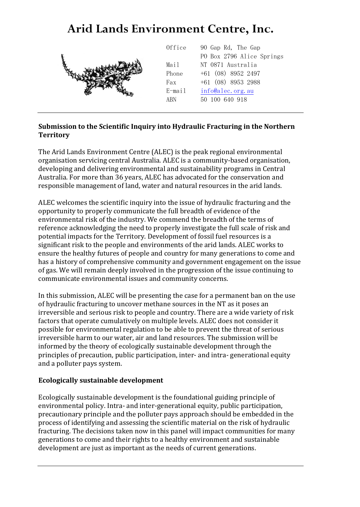# **Arid Lands Environment Centre, Inc.**



#### **Submission to the Scientific Inquiry into Hydraulic Fracturing in the Northern Territory**

The Arid Lands Environment Centre (ALEC) is the peak regional environmental organisation servicing central Australia. ALEC is a community-based organisation, developing and delivering environmental and sustainability programs in Central Australia. For more than 36 years, ALEC has advocated for the conservation and responsible management of land, water and natural resources in the arid lands.

ALEC welcomes the scientific inquiry into the issue of hydraulic fracturing and the opportunity to properly communicate the full breadth of evidence of the environmental risk of the industry. We commend the breadth of the terms of reference acknowledging the need to properly investigate the full scale of risk and potential impacts for the Territory. Development of fossil fuel resources is a significant risk to the people and environments of the arid lands. ALEC works to ensure the healthy futures of people and country for many generations to come and has a history of comprehensive community and government engagement on the issue of gas. We will remain deeply involved in the progression of the issue continuing to communicate environmental issues and community concerns.

In this submission, ALEC will be presenting the case for a permanent ban on the use of hydraulic fracturing to uncover methane sources in the NT as it poses an irreversible and serious risk to people and country. There are a wide variety of risk factors that operate cumulatively on multiple levels. ALEC does not consider it possible for environmental regulation to be able to prevent the threat of serious irreversible harm to our water, air and land resources. The submission will be informed by the theory of ecologically sustainable development through the principles of precaution, public participation, inter- and intra- generational equity and a polluter pays system.

#### **Ecologically sustainable development**

Ecologically sustainable development is the foundational guiding principle of environmental policy. Intra- and inter-generational equity, public participation, precautionary principle and the polluter pays approach should be embedded in the process of identifying and assessing the scientific material on the risk of hydraulic fracturing. The decisions taken now in this panel will impact communities for many generations to come and their rights to a healthy environment and sustainable development are just as important as the needs of current generations.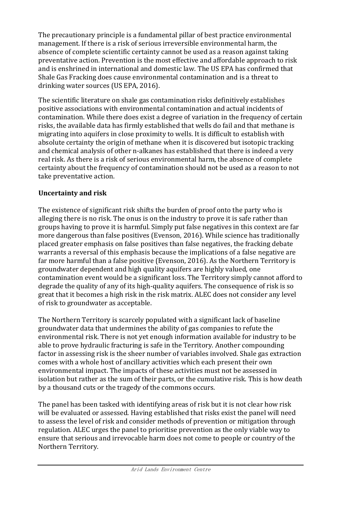The precautionary principle is a fundamental pillar of best practice environmental management. If there is a risk of serious irreversible environmental harm, the absence of complete scientific certainty cannot be used as a reason against taking preventative action. Prevention is the most effective and affordable approach to risk and is enshrined in international and domestic law. The US EPA has confirmed that Shale Gas Fracking does cause environmental contamination and is a threat to drinking water sources (US EPA, 2016).

The scientific literature on shale gas contamination risks definitively establishes positive associations with environmental contamination and actual incidents of contamination. While there does exist a degree of variation in the frequency of certain risks, the available data has firmly established that wells do fail and that methane is migrating into aquifers in close proximity to wells. It is difficult to establish with absolute certainty the origin of methane when it is discovered but isotopic tracking and chemical analysis of other n-alkanes has established that there is indeed a very real risk. As there is a risk of serious environmental harm, the absence of complete certainty about the frequency of contamination should not be used as a reason to not take preventative action.

#### **Uncertainty and risk**

The existence of significant risk shifts the burden of proof onto the party who is alleging there is no risk. The onus is on the industry to prove it is safe rather than groups having to prove it is harmful. Simply put false negatives in this context are far more dangerous than false positives (Evenson, 2016). While science has traditionally placed greater emphasis on false positives than false negatives, the fracking debate warrants a reversal of this emphasis because the implications of a false negative are far more harmful than a false positive (Evenson, 2016). As the Northern Territory is groundwater dependent and high quality aquifers are highly valued, one contamination event would be a significant loss. The Territory simply cannot afford to degrade the quality of any of its high-quality aquifers. The consequence of risk is so great that it becomes a high risk in the risk matrix. ALEC does not consider any level of risk to groundwater as acceptable.

The Northern Territory is scarcely populated with a significant lack of baseline groundwater data that undermines the ability of gas companies to refute the environmental risk. There is not yet enough information available for industry to be able to prove hydraulic fracturing is safe in the Territory. Another compounding factor in assessing risk is the sheer number of variables involved. Shale gas extraction comes with a whole host of ancillary activities which each present their own environmental impact. The impacts of these activities must not be assessed in isolation but rather as the sum of their parts, or the cumulative risk. This is how death by a thousand cuts or the tragedy of the commons occurs.

The panel has been tasked with identifying areas of risk but it is not clear how risk will be evaluated or assessed. Having established that risks exist the panel will need to assess the level of risk and consider methods of prevention or mitigation through regulation. ALEC urges the panel to prioritise prevention as the only viable way to ensure that serious and irrevocable harm does not come to people or country of the Northern Territory.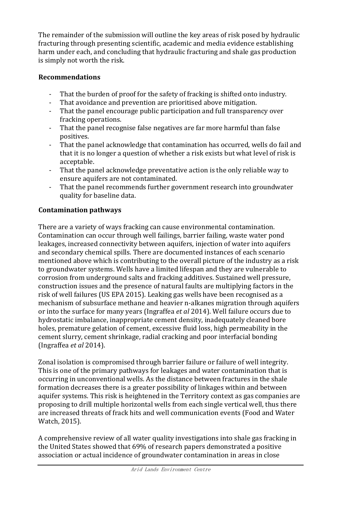The remainder of the submission will outline the key areas of risk posed by hydraulic fracturing through presenting scientific, academic and media evidence establishing harm under each, and concluding that hydraulic fracturing and shale gas production is simply not worth the risk.

#### **Recommendations**

- That the burden of proof for the safety of fracking is shifted onto industry.
- That avoidance and prevention are prioritised above mitigation.
- That the panel encourage public participation and full transparency over fracking operations.
- That the panel recognise false negatives are far more harmful than false positives.
- That the panel acknowledge that contamination has occurred, wells do fail and that it is no longer a question of whether a risk exists but what level of risk is acceptable.
- That the panel acknowledge preventative action is the only reliable way to ensure aquifers are not contaminated.
- That the panel recommends further government research into groundwater quality for baseline data.

# **Contamination pathways**

There are a variety of ways fracking can cause environmental contamination. Contamination can occur through well failings, barrier failing, waste water pond leakages, increased connectivity between aquifers, injection of water into aquifers and secondary chemical spills. There are documented instances of each scenario mentioned above which is contributing to the overall picture of the industry as a risk to groundwater systems. Wells have a limited lifespan and they are vulnerable to corrosion from underground salts and fracking additives. Sustained well pressure, construction issues and the presence of natural faults are multiplying factors in the risk of well failures (US EPA 2015). Leaking gas wells have been recognised as a mechanism of subsurface methane and heavier n-alkanes migration through aquifers or into the surface for many years (Ingraffea *et al* 2014). Well failure occurs due to hydrostatic imbalance, inappropriate cement density, inadequately cleaned bore holes, premature gelation of cement, excessive fluid loss, high permeability in the cement slurry, cement shrinkage, radial cracking and poor interfacial bonding (Ingraffea *et al* 2014).

Zonal isolation is compromised through barrier failure or failure of well integrity. This is one of the primary pathways for leakages and water contamination that is occurring in unconventional wells. As the distance between fractures in the shale formation decreases there is a greater possibility of linkages within and between aquifer systems. This risk is heightened in the Territory context as gas companies are proposing to drill multiple horizontal wells from each single vertical well, thus there are increased threats of frack hits and well communication events (Food and Water Watch, 2015).

A comprehensive review of all water quality investigations into shale gas fracking in the United States showed that 69% of research papers demonstrated a positive association or actual incidence of groundwater contamination in areas in close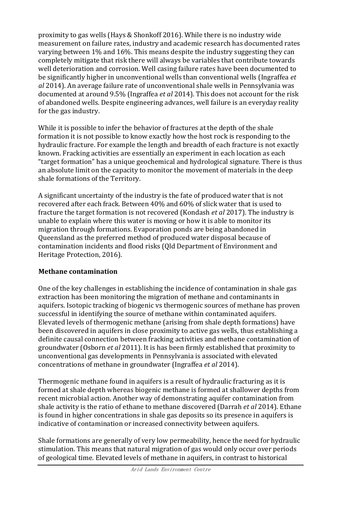proximity to gas wells (Hays & Shonkoff 2016). While there is no industry wide measurement on failure rates, industry and academic research has documented rates varying between 1% and 16%. This means despite the industry suggesting they can completely mitigate that risk there will always be variables that contribute towards well deterioration and corrosion. Well casing failure rates have been documented to be significantly higher in unconventional wells than conventional wells (Ingraffea *et al* 2014). An average failure rate of unconventional shale wells in Pennsylvania was documented at around 9.5% (Ingraffea *et al* 2014). This does not account for the risk of abandoned wells. Despite engineering advances, well failure is an everyday reality for the gas industry.

While it is possible to infer the behavior of fractures at the depth of the shale formation it is not possible to know exactly how the host rock is responding to the hydraulic fracture. For example the length and breadth of each fracture is not exactly known. Fracking activities are essentially an experiment in each location as each "target formation" has a unique geochemical and hydrological signature. There is thus an absolute limit on the capacity to monitor the movement of materials in the deep shale formations of the Territory.

A significant uncertainty of the industry is the fate of produced water that is not recovered after each frack. Between 40% and 60% of slick water that is used to fracture the target formation is not recovered (Kondash *et al* 2017). The industry is unable to explain where this water is moving or how it is able to monitor its migration through formations. Evaporation ponds are being abandoned in Queensland as the preferred method of produced water disposal because of contamination incidents and flood risks (Qld Department of Environment and Heritage Protection, 2016).

## **Methane contamination**

One of the key challenges in establishing the incidence of contamination in shale gas extraction has been monitoring the migration of methane and contaminants in aquifers. Isotopic tracking of biogenic vs thermogenic sources of methane has proven successful in identifying the source of methane within contaminated aquifers. Elevated levels of thermogenic methane (arising from shale depth formations) have been discovered in aquifers in close proximity to active gas wells, thus establishing a definite causal connection between fracking activities and methane contamination of groundwater (Osborn *et al* 2011). It is has been firmly established that proximity to unconventional gas developments in Pennsylvania is associated with elevated concentrations of methane in groundwater (Ingraffea *et al* 2014).

Thermogenic methane found in aquifers is a result of hydraulic fracturing as it is formed at shale depth whereas biogenic methane is formed at shallower depths from recent microbial action. Another way of demonstrating aquifer contamination from shale activity is the ratio of ethane to methane discovered (Darrah *et al* 2014). Ethane is found in higher concentrations in shale gas deposits so its presence in aquifers is indicative of contamination or increased connectivity between aquifers.

Shale formations are generally of very low permeability, hence the need for hydraulic stimulation. This means that natural migration of gas would only occur over periods of geological time. Elevated levels of methane in aquifers, in contrast to historical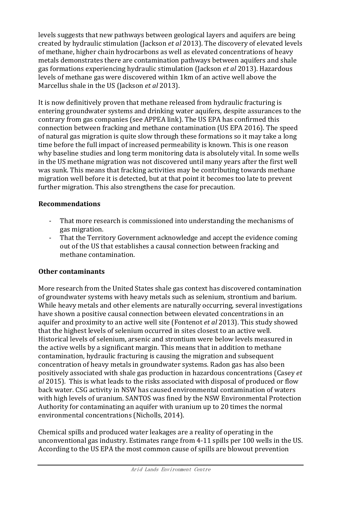levels suggests that new pathways between geological layers and aquifers are being created by hydraulic stimulation (Jackson *et al* 2013). The discovery of elevated levels of methane, higher chain hydrocarbons as well as elevated concentrations of heavy metals demonstrates there are contamination pathways between aquifers and shale gas formations experiencing hydraulic stimulation (Jackson *et al* 2013). Hazardous levels of methane gas were discovered within 1km of an active well above the Marcellus shale in the US (Jackson *et al* 2013).

It is now definitively proven that methane released from hydraulic fracturing is entering groundwater systems and drinking water aquifers, despite assurances to the contrary from gas companies (see APPEA link). The US EPA has confirmed this connection between fracking and methane contamination (US EPA 2016). The speed of natural gas migration is quite slow through these formations so it may take a long time before the full impact of increased permeability is known. This is one reason why baseline studies and long term monitoring data is absolutely vital. In some wells in the US methane migration was not discovered until many years after the first well was sunk. This means that fracking activities may be contributing towards methane migration well before it is detected, but at that point it becomes too late to prevent further migration. This also strengthens the case for precaution.

#### **Recommendations**

- That more research is commissioned into understanding the mechanisms of gas migration.
- That the Territory Government acknowledge and accept the evidence coming out of the US that establishes a causal connection between fracking and methane contamination.

## **Other contaminants**

More research from the United States shale gas context has discovered contamination of groundwater systems with heavy metals such as selenium, strontium and barium. While heavy metals and other elements are naturally occurring, several investigations have shown a positive causal connection between elevated concentrations in an aquifer and proximity to an active well site (Fontenot *et al* 2013). This study showed that the highest levels of selenium occurred in sites closest to an active well. Historical levels of selenium, arsenic and strontium were below levels measured in the active wells by a significant margin. This means that in addition to methane contamination, hydraulic fracturing is causing the migration and subsequent concentration of heavy metals in groundwater systems. Radon gas has also been positively associated with shale gas production in hazardous concentrations (Casey *et al* 2015). This is what leads to the risks associated with disposal of produced or flow back water. CSG activity in NSW has caused environmental contamination of waters with high levels of uranium. SANTOS was fined by the NSW Environmental Protection Authority for contaminating an aquifer with uranium up to 20 times the normal environmental concentrations (Nicholls, 2014).

Chemical spills and produced water leakages are a reality of operating in the unconventional gas industry. Estimates range from 4-11 spills per 100 wells in the US. According to the US EPA the most common cause of spills are blowout prevention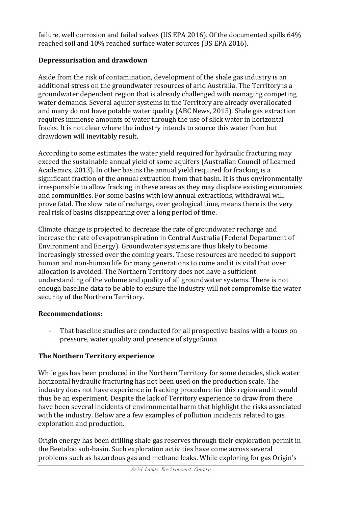failure, well corrosion and failed valves (US EPA 2016). Of the documented spills 64% reached soil and 10% reached surface water sources (US EPA 2016).

# **Depressurisation and drawdown**

Aside from the risk of contamination, development of the shale gas industry is an additional stress on the groundwater resources of arid Australia. The Territory is a groundwater dependent region that is already challenged with managing competing water demands. Several aquifer systems in the Territory are already overallocated and many do not have potable water quality (ABC News, 2015). Shale gas extraction requires immense amounts of water through the use of slick water in horizontal fracks. It is not clear where the industry intends to source this water from but drawdown will inevitably result.

According to some estimates the water yield required for hydraulic fracturing may exceed the sustainable annual yield of some aquifers (Australian Council of Learned Academics, 2013). In other basins the annual yield required for fracking is a significant fraction of the annual extraction from that basin. It is thus environmentally irresponsible to allow fracking in these areas as they may displace existing economies and communities. For some basins with low annual extractions, withdrawal will prove fatal. The slow rate of recharge, over geological time, means there is the very real risk of basins disappearing over a long period of time.

Climate change is projected to decrease the rate of groundwater recharge and increase the rate of evapotranspiration in Central Australia (Federal Department of Environment and Energy). Groundwater systems are thus likely to become increasingly stressed over the coming years. These resources are needed to support human and non-human life for many generations to come and it is vital that over allocation is avoided. The Northern Territory does not have a sufficient understanding of the volume and quality of all groundwater systems. There is not enough baseline data to be able to ensure the industry will not compromise the water security of the Northern Territory.

## **Recommendations:**

That baseline studies are conducted for all prospective basins with a focus on pressure, water quality and presence of stygofauna

# **The Northern Territory experience**

While gas has been produced in the Northern Territory for some decades, slick water horizontal hydraulic fracturing has not been used on the production scale. The industry does not have experience in fracking procedure for this region and it would thus be an experiment. Despite the lack of Territory experience to draw from there have been several incidents of environmental harm that highlight the risks associated with the industry. Below are a few examples of pollution incidents related to gas exploration and production.

Origin energy has been drilling shale gas reserves through their exploration permit in the Beetaloo sub-basin. Such exploration activities have come across several problems such as hazardous gas and methane leaks. While exploring for gas Origin's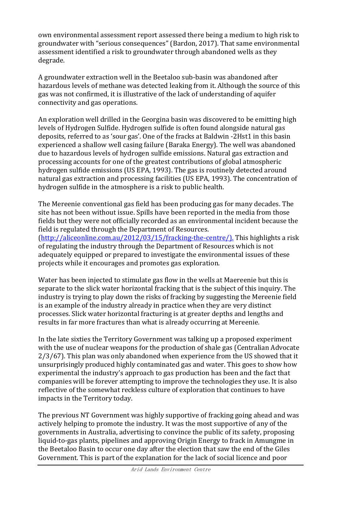own environmental assessment report assessed there being a medium to high risk to groundwater with "serious consequences" (Bardon, 2017). That same environmental assessment identified a risk to groundwater through abandoned wells as they degrade.

A groundwater extraction well in the Beetaloo sub-basin was abandoned after hazardous levels of methane was detected leaking from it. Although the source of this gas was not confirmed, it is illustrative of the lack of understanding of aquifer connectivity and gas operations.

An exploration well drilled in the Georgina basin was discovered to be emitting high levels of Hydrogen Sulfide. Hydrogen sulfide is often found alongside natural gas deposits, referred to as 'sour gas'. One of the fracks at Baldwin -2Hst1 in this basin experienced a shallow well casing failure (Baraka Energy). The well was abandoned due to hazardous levels of hydrogen sulfide emissions. Natural gas extraction and processing accounts for one of the greatest contributions of global atmospheric hydrogen sulfide emissions (US EPA, 1993). The gas is routinely detected around natural gas extraction and processing facilities (US EPA, 1993). The concentration of hydrogen sulfide in the atmosphere is a risk to public health.

The Mereenie conventional gas field has been producing gas for many decades. The site has not been without issue. Spills have been reported in the media from those fields but they were not officially recorded as an environmental incident because the field is regulated through the Department of Resources. [\(http://aliceonline.com.au/2012/03/15/fracking-the-centre/\).](http://aliceonline.com.au/2012/03/15/fracking-the-centre/).) This highlights a risk of regulating the industry through the Department of Resources which is not

adequately equipped or prepared to investigate the environmental issues of these projects while it encourages and promotes gas exploration.

Water has been injected to stimulate gas flow in the wells at Maereenie but this is separate to the slick water horizontal fracking that is the subject of this inquiry. The industry is trying to play down the risks of fracking by suggesting the Mereenie field is an example of the industry already in practice when they are very distinct processes. Slick water horizontal fracturing is at greater depths and lengths and results in far more fractures than what is already occurring at Mereenie.

In the late sixties the Territory Government was talking up a proposed experiment with the use of nuclear weapons for the production of shale gas (Centralian Advocate 2/3/67). This plan was only abandoned when experience from the US showed that it unsurprisingly produced highly contaminated gas and water. This goes to show how experimental the industry's approach to gas production has been and the fact that companies will be forever attempting to improve the technologies they use. It is also reflective of the somewhat reckless culture of exploration that continues to have impacts in the Territory today.

The previous NT Government was highly supportive of fracking going ahead and was actively helping to promote the industry. It was the most supportive of any of the governments in Australia, advertising to convince the public of its safety, proposing liquid-to-gas plants, pipelines and approving Origin Energy to frack in Amungme in the Beetaloo Basin to occur one day after the election that saw the end of the Giles Government. This is part of the explanation for the lack of social licence and poor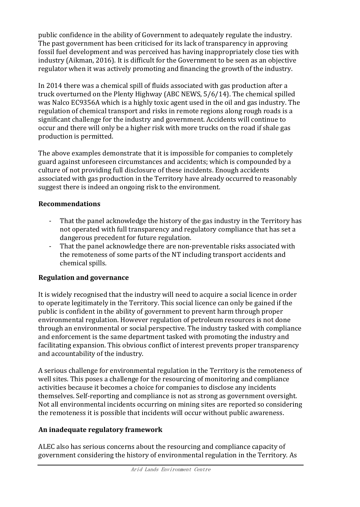public confidence in the ability of Government to adequately regulate the industry. The past government has been criticised for its lack of transparency in approving fossil fuel development and was perceived has having inappropriately close ties with industry (Aikman, 2016). It is difficult for the Government to be seen as an objective regulator when it was actively promoting and financing the growth of the industry.

In 2014 there was a chemical spill of fluids associated with gas production after a truck overturned on the Plenty Highway (ABC NEWS, 5/6/14). The chemical spilled was Nalco EC9356A which is a highly toxic agent used in the oil and gas industry. The regulation of chemical transport and risks in remote regions along rough roads is a significant challenge for the industry and government. Accidents will continue to occur and there will only be a higher risk with more trucks on the road if shale gas production is permitted.

The above examples demonstrate that it is impossible for companies to completely guard against unforeseen circumstances and accidents; which is compounded by a culture of not providing full disclosure of these incidents. Enough accidents associated with gas production in the Territory have already occurred to reasonably suggest there is indeed an ongoing risk to the environment.

## **Recommendations**

- That the panel acknowledge the history of the gas industry in the Territory has not operated with full transparency and regulatory compliance that has set a dangerous precedent for future regulation.
- That the panel acknowledge there are non-preventable risks associated with the remoteness of some parts of the NT including transport accidents and chemical spills.

## **Regulation and governance**

It is widely recognised that the industry will need to acquire a social licence in order to operate legitimately in the Territory. This social licence can only be gained if the public is confident in the ability of government to prevent harm through proper environmental regulation. However regulation of petroleum resources is not done through an environmental or social perspective. The industry tasked with compliance and enforcement is the same department tasked with promoting the industry and facilitating expansion. This obvious conflict of interest prevents proper transparency and accountability of the industry.

A serious challenge for environmental regulation in the Territory is the remoteness of well sites. This poses a challenge for the resourcing of monitoring and compliance activities because it becomes a choice for companies to disclose any incidents themselves. Self-reporting and compliance is not as strong as government oversight. Not all environmental incidents occurring on mining sites are reported so considering the remoteness it is possible that incidents will occur without public awareness.

# **An inadequate regulatory framework**

ALEC also has serious concerns about the resourcing and compliance capacity of government considering the history of environmental regulation in the Territory. As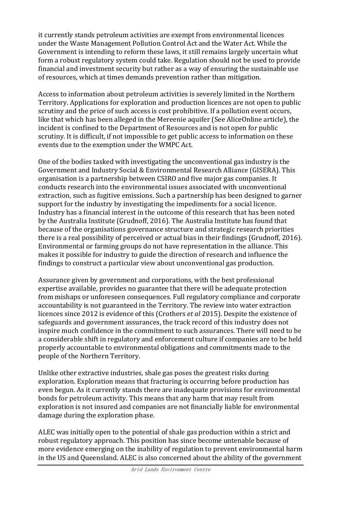it currently stands petroleum activities are exempt from environmental licences under the Waste Management Pollution Control Act and the Water Act. While the Government is intending to reform these laws, it still remains largely uncertain what form a robust regulatory system could take. Regulation should not be used to provide financial and investment security but rather as a way of ensuring the sustainable use of resources, which at times demands prevention rather than mitigation.

Access to information about petroleum activities is severely limited in the Northern Territory. Applications for exploration and production licences are not open to public scrutiny and the price of such access is cost prohibitive. If a pollution event occurs, like that which has been alleged in the Mereenie aquifer (See AliceOnline article), the incident is confined to the Department of Resources and is not open for public scrutiny. It is difficult, if not impossible to get public access to information on these events due to the exemption under the WMPC Act.

One of the bodies tasked with investigating the unconventional gas industry is the Government and Industry Social & Environmental Research Alliance (GISERA). This organisation is a partnership between CSIRO and five major gas companies. It conducts research into the environmental issues associated with unconventional extraction, such as fugitive emissions. Such a partnership has been designed to garner support for the industry by investigating the impediments for a social licence. Industry has a financial interest in the outcome of this research that has been noted by the Australia Institute (Grudnoff, 2016). The Australia Institute has found that because of the organisations governance structure and strategic research priorities there is a real possibility of perceived or actual bias in their findings (Grudnoff, 2016). Environmental or farming groups do not have representation in the alliance. This makes it possible for industry to guide the direction of research and influence the findings to construct a particular view about unconventional gas production.

Assurance given by government and corporations, with the best professional expertise available, provides no guarantee that there will be adequate protection from mishaps or unforeseen consequences. Full regulatory compliance and corporate accountability is not guaranteed in the Territory. The review into water extraction licences since 2012 is evidence of this (Crothers *et al* 2015). Despite the existence of safeguards and government assurances, the track record of this industry does not inspire much confidence in the commitment to such assurances. There will need to be a considerable shift in regulatory and enforcement culture if companies are to be held properly accountable to environmental obligations and commitments made to the people of the Northern Territory.

Unlike other extractive industries, shale gas poses the greatest risks during exploration. Exploration means that fracturing is occurring before production has even begun. As it currently stands there are inadequate provisions for environmental bonds for petroleum activity. This means that any harm that may result from exploration is not insured and companies are not financially liable for environmental damage during the exploration phase.

ALEC was initially open to the potential of shale gas production within a strict and robust regulatory approach. This position has since become untenable because of more evidence emerging on the inability of regulation to prevent environmental harm in the US and Queensland. ALEC is also concerned about the ability of the government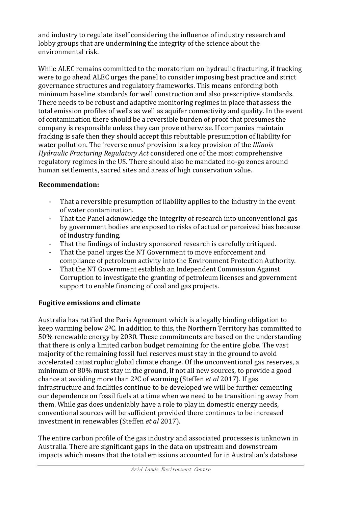and industry to regulate itself considering the influence of industry research and lobby groups that are undermining the integrity of the science about the environmental risk.

While ALEC remains committed to the moratorium on hydraulic fracturing, if fracking were to go ahead ALEC urges the panel to consider imposing best practice and strict governance structures and regulatory frameworks. This means enforcing both minimum baseline standards for well construction and also prescriptive standards. There needs to be robust and adaptive monitoring regimes in place that assess the total emission profiles of wells as well as aquifer connectivity and quality. In the event of contamination there should be a reversible burden of proof that presumes the company is responsible unless they can prove otherwise. If companies maintain fracking is safe then they should accept this rebuttable presumption of liability for water pollution. The 'reverse onus' provision is a key provision of the *Illinois Hydraulic Fracturing Regulatory Act* considered one of the most comprehensive regulatory regimes in the US. There should also be mandated no-go zones around human settlements, sacred sites and areas of high conservation value.

#### **Recommendation:**

- That a reversible presumption of liability applies to the industry in the event of water contamination.
- That the Panel acknowledge the integrity of research into unconventional gas by government bodies are exposed to risks of actual or perceived bias because of industry funding.
- That the findings of industry sponsored research is carefully critiqued.
- That the panel urges the NT Government to move enforcement and compliance of petroleum activity into the Environment Protection Authority.
- That the NT Government establish an Independent Commission Against Corruption to investigate the granting of petroleum licenses and government support to enable financing of coal and gas projects.

## **Fugitive emissions and climate**

Australia has ratified the Paris Agreement which is a legally binding obligation to keep warming below 20C. In addition to this, the Northern Territory has committed to 50% renewable energy by 2030. These commitments are based on the understanding that there is only a limited carbon budget remaining for the entire globe. The vast majority of the remaining fossil fuel reserves must stay in the ground to avoid accelerated catastrophic global climate change. Of the unconventional gas reserves, a minimum of 80% must stay in the ground, if not all new sources, to provide a good chance at avoiding more than 20C of warming (Steffen *et al* 2017). If gas infrastructure and facilities continue to be developed we will be further cementing our dependence on fossil fuels at a time when we need to be transitioning away from them. While gas does undeniably have a role to play in domestic energy needs, conventional sources will be sufficient provided there continues to be increased investment in renewables (Steffen *et al* 2017).

The entire carbon profile of the gas industry and associated processes is unknown in Australia. There are significant gaps in the data on upstream and downstream impacts which means that the total emissions accounted for in Australian's database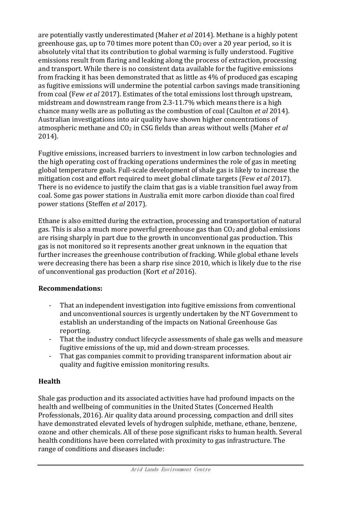are potentially vastly underestimated (Maher *et al* 2014). Methane is a highly potent greenhouse gas, up to 70 times more potent than  $CO<sub>2</sub>$  over a 20 year period, so it is absolutely vital that its contribution to global warming is fully understood. Fugitive emissions result from flaring and leaking along the process of extraction, processing and transport. While there is no consistent data available for the fugitive emissions from fracking it has been demonstrated that as little as 4% of produced gas escaping as fugitive emissions will undermine the potential carbon savings made transitioning from coal (Few *et al* 2017). Estimates of the total emissions lost through upstream, midstream and downstream range from 2.3-11.7% which means there is a high chance many wells are as polluting as the combustion of coal (Caulton *et al* 2014). Australian investigations into air quality have shown higher concentrations of atmospheric methane and CO<sup>2</sup> in CSG fields than areas without wells (Maher *et al*  2014).

Fugitive emissions, increased barriers to investment in low carbon technologies and the high operating cost of fracking operations undermines the role of gas in meeting global temperature goals. Full-scale development of shale gas is likely to increase the mitigation cost and effort required to meet global climate targets (Few *et al* 2017). There is no evidence to justify the claim that gas is a viable transition fuel away from coal. Some gas power stations in Australia emit more carbon dioxide than coal fired power stations (Steffen *et al* 2017).

Ethane is also emitted during the extraction, processing and transportation of natural gas. This is also a much more powerful greenhouse gas than  $CO<sub>2</sub>$  and global emissions are rising sharply in part due to the growth in unconventional gas production. This gas is not monitored so it represents another great unknown in the equation that further increases the greenhouse contribution of fracking. While global ethane levels were decreasing there has been a sharp rise since 2010, which is likely due to the rise of unconventional gas production (Kort *et al* 2016).

## **Recommendations:**

- That an independent investigation into fugitive emissions from conventional and unconventional sources is urgently undertaken by the NT Government to establish an understanding of the impacts on National Greenhouse Gas reporting.
- That the industry conduct lifecycle assessments of shale gas wells and measure fugitive emissions of the up, mid and down-stream processes.
- That gas companies commit to providing transparent information about air quality and fugitive emission monitoring results.

## **Health**

Shale gas production and its associated activities have had profound impacts on the health and wellbeing of communities in the United States (Concerned Health Professionals, 2016). Air quality data around processing, compaction and drill sites have demonstrated elevated levels of hydrogen sulphide, methane, ethane, benzene, ozone and other chemicals. All of these pose significant risks to human health. Several health conditions have been correlated with proximity to gas infrastructure. The range of conditions and diseases include: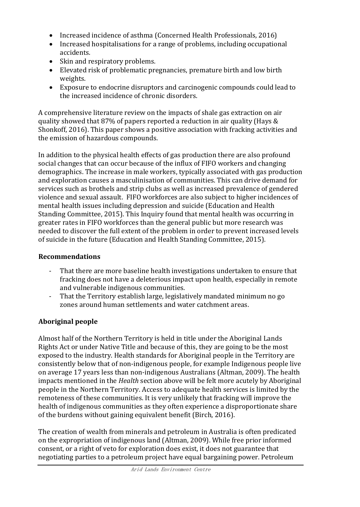- Increased incidence of asthma (Concerned Health Professionals, 2016)
- Increased hospitalisations for a range of problems, including occupational accidents.
- Skin and respiratory problems.
- Elevated risk of problematic pregnancies, premature birth and low birth weights.
- Exposure to endocrine disruptors and carcinogenic compounds could lead to the increased incidence of chronic disorders.

A comprehensive literature review on the impacts of shale gas extraction on air quality showed that 87% of papers reported a reduction in air quality (Hays & Shonkoff, 2016). This paper shows a positive association with fracking activities and the emission of hazardous compounds.

In addition to the physical health effects of gas production there are also profound social changes that can occur because of the influx of FIFO workers and changing demographics. The increase in male workers, typically associated with gas production and exploration causes a masculinisation of communities. This can drive demand for services such as brothels and strip clubs as well as increased prevalence of gendered violence and sexual assault. FIFO workforces are also subject to higher incidences of mental health issues including depression and suicide (Education and Health Standing Committee, 2015). This Inquiry found that mental health was occurring in greater rates in FIFO workforces than the general public but more research was needed to discover the full extent of the problem in order to prevent increased levels of suicide in the future (Education and Health Standing Committee, 2015).

# **Recommendations**

- That there are more baseline health investigations undertaken to ensure that fracking does not have a deleterious impact upon health, especially in remote and vulnerable indigenous communities.
- That the Territory establish large, legislatively mandated minimum no go zones around human settlements and water catchment areas.

# **Aboriginal people**

Almost half of the Northern Territory is held in title under the Aboriginal Lands Rights Act or under Native Title and because of this, they are going to be the most exposed to the industry. Health standards for Aboriginal people in the Territory are consistently below that of non-indigenous people, for example Indigenous people live on average 17 years less than non-indigenous Australians (Altman, 2009). The health impacts mentioned in the *Health* section above will be felt more acutely by Aboriginal people in the Northern Territory. Access to adequate health services is limited by the remoteness of these communities. It is very unlikely that fracking will improve the health of indigenous communities as they often experience a disproportionate share of the burdens without gaining equivalent benefit (Birch, 2016).

The creation of wealth from minerals and petroleum in Australia is often predicated on the expropriation of indigenous land (Altman, 2009). While free prior informed consent, or a right of veto for exploration does exist, it does not guarantee that negotiating parties to a petroleum project have equal bargaining power. Petroleum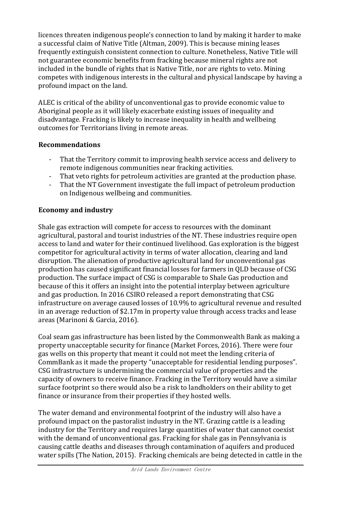licences threaten indigenous people's connection to land by making it harder to make a successful claim of Native Title (Altman, 2009). This is because mining leases frequently extinguish consistent connection to culture. Nonetheless, Native Title will not guarantee economic benefits from fracking because mineral rights are not included in the bundle of rights that is Native Title, nor are rights to veto. Mining competes with indigenous interests in the cultural and physical landscape by having a profound impact on the land.

ALEC is critical of the ability of unconventional gas to provide economic value to Aboriginal people as it will likely exacerbate existing issues of inequality and disadvantage. Fracking is likely to increase inequality in health and wellbeing outcomes for Territorians living in remote areas.

#### **Recommendations**

- That the Territory commit to improving health service access and delivery to remote indigenous communities near fracking activities.
- That veto rights for petroleum activities are granted at the production phase.
- That the NT Government investigate the full impact of petroleum production on Indigenous wellbeing and communities.

# **Economy and industry**

Shale gas extraction will compete for access to resources with the dominant agricultural, pastoral and tourist industries of the NT. These industries require open access to land and water for their continued livelihood. Gas exploration is the biggest competitor for agricultural activity in terms of water allocation, clearing and land disruption. The alienation of productive agricultural land for unconventional gas production has caused significant financial losses for farmers in QLD because of CSG production. The surface impact of CSG is comparable to Shale Gas production and because of this it offers an insight into the potential interplay between agriculture and gas production. In 2016 CSIRO released a report demonstrating that CSG infrastructure on average caused losses of 10.9% to agricultural revenue and resulted in an average reduction of \$2.17m in property value through access tracks and lease areas (Marinoni & Garcia, 2016).

Coal seam gas infrastructure has been listed by the Commonwealth Bank as making a property unacceptable security for finance (Market Forces, 2016). There were four gas wells on this property that meant it could not meet the lending criteria of CommBank as it made the property "unacceptable for residential lending purposes". CSG infrastructure is undermining the commercial value of properties and the capacity of owners to receive finance. Fracking in the Territory would have a similar surface footprint so there would also be a risk to landholders on their ability to get finance or insurance from their properties if they hosted wells.

The water demand and environmental footprint of the industry will also have a profound impact on the pastoralist industry in the NT. Grazing cattle is a leading industry for the Territory and requires large quantities of water that cannot coexist with the demand of unconventional gas. Fracking for shale gas in Pennsylvania is causing cattle deaths and diseases through contamination of aquifers and produced water spills (The Nation, 2015). Fracking chemicals are being detected in cattle in the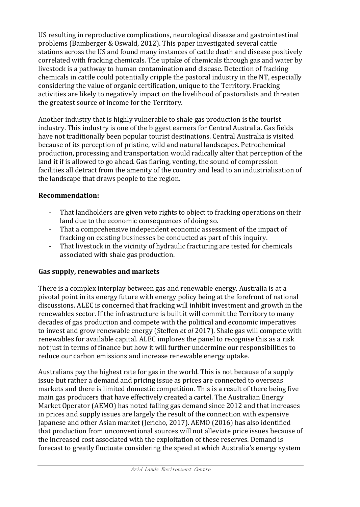US resulting in reproductive complications, neurological disease and gastrointestinal problems (Bamberger & Oswald, 2012). This paper investigated several cattle stations across the US and found many instances of cattle death and disease positively correlated with fracking chemicals. The uptake of chemicals through gas and water by livestock is a pathway to human contamination and disease. Detection of fracking chemicals in cattle could potentially cripple the pastoral industry in the NT, especially considering the value of organic certification, unique to the Territory. Fracking activities are likely to negatively impact on the livelihood of pastoralists and threaten the greatest source of income for the Territory.

Another industry that is highly vulnerable to shale gas production is the tourist industry. This industry is one of the biggest earners for Central Australia. Gas fields have not traditionally been popular tourist destinations. Central Australia is visited because of its perception of pristine, wild and natural landscapes. Petrochemical production, processing and transportation would radically alter that perception of the land it if is allowed to go ahead. Gas flaring, venting, the sound of compression facilities all detract from the amenity of the country and lead to an industrialisation of the landscape that draws people to the region.

#### **Recommendation:**

- That landholders are given veto rights to object to fracking operations on their land due to the economic consequences of doing so.
- That a comprehensive independent economic assessment of the impact of fracking on existing businesses be conducted as part of this inquiry.
- That livestock in the vicinity of hydraulic fracturing are tested for chemicals associated with shale gas production.

## **Gas supply, renewables and markets**

There is a complex interplay between gas and renewable energy. Australia is at a pivotal point in its energy future with energy policy being at the forefront of national discussions. ALEC is concerned that fracking will inhibit investment and growth in the renewables sector. If the infrastructure is built it will commit the Territory to many decades of gas production and compete with the political and economic imperatives to invest and grow renewable energy (Steffen *et al* 2017). Shale gas will compete with renewables for available capital. ALEC implores the panel to recognise this as a risk not just in terms of finance but how it will further undermine our responsibilities to reduce our carbon emissions and increase renewable energy uptake.

Australians pay the highest rate for gas in the world. This is not because of a supply issue but rather a demand and pricing issue as prices are connected to overseas markets and there is limited domestic competition. This is a result of there being five main gas producers that have effectively created a cartel. The Australian Energy Market Operator (AEMO) has noted falling gas demand since 2012 and that increases in prices and supply issues are largely the result of the connection with expensive Japanese and other Asian market (Jericho, 2017). AEMO (2016) has also identified that production from unconventional sources will not alleviate price issues because of the increased cost associated with the exploitation of these reserves. Demand is forecast to greatly fluctuate considering the speed at which Australia's energy system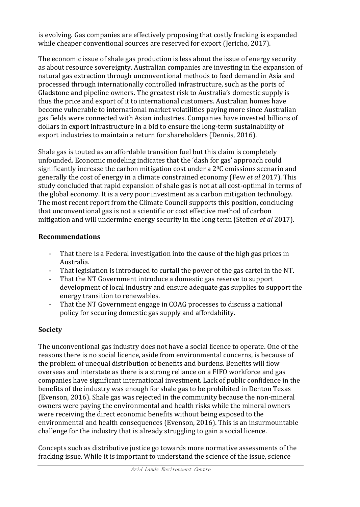is evolving. Gas companies are effectively proposing that costly fracking is expanded while cheaper conventional sources are reserved for export (Jericho, 2017).

The economic issue of shale gas production is less about the issue of energy security as about resource sovereignty. Australian companies are investing in the expansion of natural gas extraction through unconventional methods to feed demand in Asia and processed through internationally controlled infrastructure, such as the ports of Gladstone and pipeline owners. The greatest risk to Australia's domestic supply is thus the price and export of it to international customers. Australian homes have become vulnerable to international market volatilities paying more since Australian gas fields were connected with Asian industries. Companies have invested billions of dollars in export infrastructure in a bid to ensure the long-term sustainability of export industries to maintain a return for shareholders (Dennis, 2016).

Shale gas is touted as an affordable transition fuel but this claim is completely unfounded. Economic modeling indicates that the 'dash for gas' approach could significantly increase the carbon mitigation cost under a  $2^{0}C$  emissions scenario and generally the cost of energy in a climate constrained economy (Few *et al* 2017). This study concluded that rapid expansion of shale gas is not at all cost-optimal in terms of the global economy. It is a very poor investment as a carbon mitigation technology. The most recent report from the Climate Council supports this position, concluding that unconventional gas is not a scientific or cost effective method of carbon mitigation and will undermine energy security in the long term (Steffen *et al* 2017).

#### **Recommendations**

- That there is a Federal investigation into the cause of the high gas prices in Australia.
- That legislation is introduced to curtail the power of the gas cartel in the NT.
- That the NT Government introduce a domestic gas reserve to support development of local industry and ensure adequate gas supplies to support the energy transition to renewables.
- That the NT Government engage in COAG processes to discuss a national policy for securing domestic gas supply and affordability.

# **Society**

The unconventional gas industry does not have a social licence to operate. One of the reasons there is no social licence, aside from environmental concerns, is because of the problem of unequal distribution of benefits and burdens. Benefits will flow overseas and interstate as there is a strong reliance on a FIFO workforce and gas companies have significant international investment. Lack of public confidence in the benefits of the industry was enough for shale gas to be prohibited in Denton Texas (Evenson, 2016). Shale gas was rejected in the community because the non-mineral owners were paying the environmental and health risks while the mineral owners were receiving the direct economic benefits without being exposed to the environmental and health consequences (Evenson, 2016). This is an insurmountable challenge for the industry that is already struggling to gain a social licence.

Concepts such as distributive justice go towards more normative assessments of the fracking issue. While it is important to understand the science of the issue, science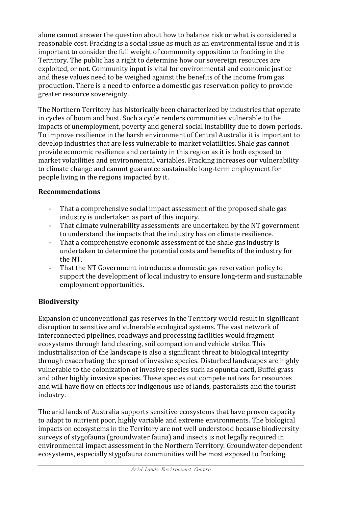alone cannot answer the question about how to balance risk or what is considered a reasonable cost. Fracking is a social issue as much as an environmental issue and it is important to consider the full weight of community opposition to fracking in the Territory. The public has a right to determine how our sovereign resources are exploited, or not. Community input is vital for environmental and economic justice and these values need to be weighed against the benefits of the income from gas production. There is a need to enforce a domestic gas reservation policy to provide greater resource sovereignty.

The Northern Territory has historically been characterized by industries that operate in cycles of boom and bust. Such a cycle renders communities vulnerable to the impacts of unemployment, poverty and general social instability due to down periods. To improve resilience in the harsh environment of Central Australia it is important to develop industries that are less vulnerable to market volatilities. Shale gas cannot provide economic resilience and certainty in this region as it is both exposed to market volatilities and environmental variables. Fracking increases our vulnerability to climate change and cannot guarantee sustainable long-term employment for people living in the regions impacted by it.

#### **Recommendations**

- That a comprehensive social impact assessment of the proposed shale gas industry is undertaken as part of this inquiry.
- That climate vulnerability assessments are undertaken by the NT government to understand the impacts that the industry has on climate resilience.
- That a comprehensive economic assessment of the shale gas industry is undertaken to determine the potential costs and benefits of the industry for the NT.
- That the NT Government introduces a domestic gas reservation policy to support the development of local industry to ensure long-term and sustainable employment opportunities.

# **Biodiversity**

Expansion of unconventional gas reserves in the Territory would result in significant disruption to sensitive and vulnerable ecological systems. The vast network of interconnected pipelines, roadways and processing facilities would fragment ecosystems through land clearing, soil compaction and vehicle strike. This industrialisation of the landscape is also a significant threat to biological integrity through exacerbating the spread of invasive species. Disturbed landscapes are highly vulnerable to the colonization of invasive species such as opuntia cacti, Buffel grass and other highly invasive species. These species out compete natives for resources and will have flow on effects for indigenous use of lands, pastoralists and the tourist industry.

The arid lands of Australia supports sensitive ecosystems that have proven capacity to adapt to nutrient poor, highly variable and extreme environments. The biological impacts on ecosystems in the Territory are not well understood because biodiversity surveys of stygofauna (groundwater fauna) and insects is not legally required in environmental impact assessment in the Northern Territory. Groundwater dependent ecosystems, especially stygofauna communities will be most exposed to fracking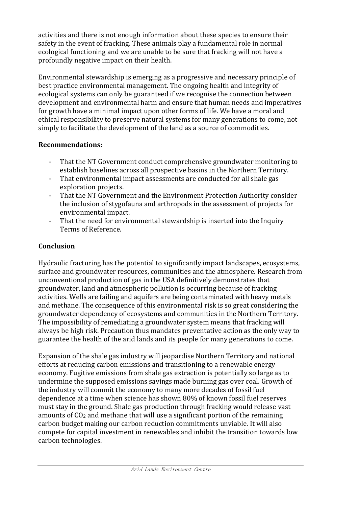activities and there is not enough information about these species to ensure their safety in the event of fracking. These animals play a fundamental role in normal ecological functioning and we are unable to be sure that fracking will not have a profoundly negative impact on their health.

Environmental stewardship is emerging as a progressive and necessary principle of best practice environmental management. The ongoing health and integrity of ecological systems can only be guaranteed if we recognise the connection between development and environmental harm and ensure that human needs and imperatives for growth have a minimal impact upon other forms of life. We have a moral and ethical responsibility to preserve natural systems for many generations to come, not simply to facilitate the development of the land as a source of commodities.

## **Recommendations:**

- That the NT Government conduct comprehensive groundwater monitoring to establish baselines across all prospective basins in the Northern Territory.
- That environmental impact assessments are conducted for all shale gas exploration projects.
- That the NT Government and the Environment Protection Authority consider the inclusion of stygofauna and arthropods in the assessment of projects for environmental impact.
- That the need for environmental stewardship is inserted into the Inquiry Terms of Reference.

# **Conclusion**

Hydraulic fracturing has the potential to significantly impact landscapes, ecosystems, surface and groundwater resources, communities and the atmosphere. Research from unconventional production of gas in the USA definitively demonstrates that groundwater, land and atmospheric pollution is occurring because of fracking activities. Wells are failing and aquifers are being contaminated with heavy metals and methane. The consequence of this environmental risk is so great considering the groundwater dependency of ecosystems and communities in the Northern Territory. The impossibility of remediating a groundwater system means that fracking will always be high risk. Precaution thus mandates preventative action as the only way to guarantee the health of the arid lands and its people for many generations to come.

Expansion of the shale gas industry will jeopardise Northern Territory and national efforts at reducing carbon emissions and transitioning to a renewable energy economy. Fugitive emissions from shale gas extraction is potentially so large as to undermine the supposed emissions savings made burning gas over coal. Growth of the industry will commit the economy to many more decades of fossil fuel dependence at a time when science has shown 80% of known fossil fuel reserves must stay in the ground. Shale gas production through fracking would release vast amounts of CO<sup>2</sup> and methane that will use a significant portion of the remaining carbon budget making our carbon reduction commitments unviable. It will also compete for capital investment in renewables and inhibit the transition towards low carbon technologies.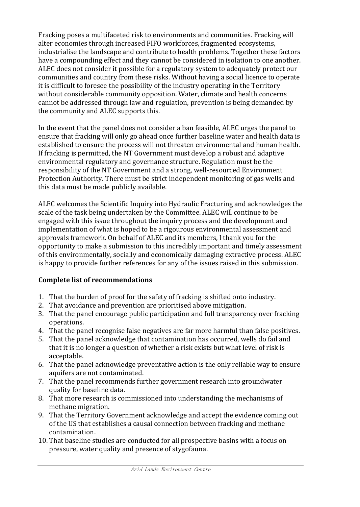Fracking poses a multifaceted risk to environments and communities. Fracking will alter economies through increased FIFO workforces, fragmented ecosystems, industrialise the landscape and contribute to health problems. Together these factors have a compounding effect and they cannot be considered in isolation to one another. ALEC does not consider it possible for a regulatory system to adequately protect our communities and country from these risks. Without having a social licence to operate it is difficult to foresee the possibility of the industry operating in the Territory without considerable community opposition. Water, climate and health concerns cannot be addressed through law and regulation, prevention is being demanded by the community and ALEC supports this.

In the event that the panel does not consider a ban feasible, ALEC urges the panel to ensure that fracking will only go ahead once further baseline water and health data is established to ensure the process will not threaten environmental and human health. If fracking is permitted, the NT Government must develop a robust and adaptive environmental regulatory and governance structure. Regulation must be the responsibility of the NT Government and a strong, well-resourced Environment Protection Authority. There must be strict independent monitoring of gas wells and this data must be made publicly available.

ALEC welcomes the Scientific Inquiry into Hydraulic Fracturing and acknowledges the scale of the task being undertaken by the Committee. ALEC will continue to be engaged with this issue throughout the inquiry process and the development and implementation of what is hoped to be a rigourous environmental assessment and approvals framework. On behalf of ALEC and its members, I thank you for the opportunity to make a submission to this incredibly important and timely assessment of this environmentally, socially and economically damaging extractive process. ALEC is happy to provide further references for any of the issues raised in this submission.

## **Complete list of recommendations**

- 1. That the burden of proof for the safety of fracking is shifted onto industry.
- 2. That avoidance and prevention are prioritised above mitigation.
- 3. That the panel encourage public participation and full transparency over fracking operations.
- 4. That the panel recognise false negatives are far more harmful than false positives.
- 5. That the panel acknowledge that contamination has occurred, wells do fail and that it is no longer a question of whether a risk exists but what level of risk is acceptable.
- 6. That the panel acknowledge preventative action is the only reliable way to ensure aquifers are not contaminated.
- 7. That the panel recommends further government research into groundwater quality for baseline data.
- 8. That more research is commissioned into understanding the mechanisms of methane migration.
- 9. That the Territory Government acknowledge and accept the evidence coming out of the US that establishes a causal connection between fracking and methane contamination.
- 10. That baseline studies are conducted for all prospective basins with a focus on pressure, water quality and presence of stygofauna.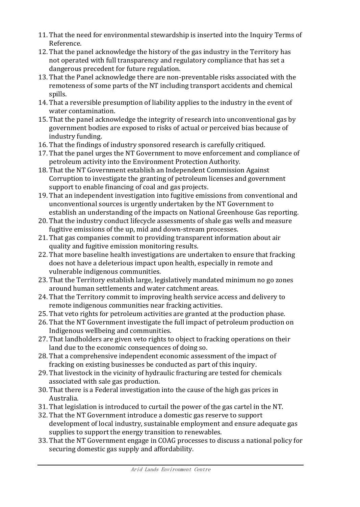- 11. That the need for environmental stewardship is inserted into the Inquiry Terms of Reference.
- 12. That the panel acknowledge the history of the gas industry in the Territory has not operated with full transparency and regulatory compliance that has set a dangerous precedent for future regulation.
- 13. That the Panel acknowledge there are non-preventable risks associated with the remoteness of some parts of the NT including transport accidents and chemical spills.
- 14. That a reversible presumption of liability applies to the industry in the event of water contamination.
- 15. That the panel acknowledge the integrity of research into unconventional gas by government bodies are exposed to risks of actual or perceived bias because of industry funding.
- 16. That the findings of industry sponsored research is carefully critiqued.
- 17. That the panel urges the NT Government to move enforcement and compliance of petroleum activity into the Environment Protection Authority.
- 18. That the NT Government establish an Independent Commission Against Corruption to investigate the granting of petroleum licenses and government support to enable financing of coal and gas projects.
- 19. That an independent investigation into fugitive emissions from conventional and unconventional sources is urgently undertaken by the NT Government to establish an understanding of the impacts on National Greenhouse Gas reporting.
- 20. That the industry conduct lifecycle assessments of shale gas wells and measure fugitive emissions of the up, mid and down-stream processes.
- 21. That gas companies commit to providing transparent information about air quality and fugitive emission monitoring results.
- 22. That more baseline health investigations are undertaken to ensure that fracking does not have a deleterious impact upon health, especially in remote and vulnerable indigenous communities.
- 23. That the Territory establish large, legislatively mandated minimum no go zones around human settlements and water catchment areas.
- 24. That the Territory commit to improving health service access and delivery to remote indigenous communities near fracking activities.
- 25. That veto rights for petroleum activities are granted at the production phase.
- 26. That the NT Government investigate the full impact of petroleum production on Indigenous wellbeing and communities.
- 27. That landholders are given veto rights to object to fracking operations on their land due to the economic consequences of doing so.
- 28. That a comprehensive independent economic assessment of the impact of fracking on existing businesses be conducted as part of this inquiry.
- 29. That livestock in the vicinity of hydraulic fracturing are tested for chemicals associated with sale gas production.
- 30. That there is a Federal investigation into the cause of the high gas prices in Australia.
- 31. That legislation is introduced to curtail the power of the gas cartel in the NT.
- 32. That the NT Government introduce a domestic gas reserve to support development of local industry, sustainable employment and ensure adequate gas supplies to support the energy transition to renewables.
- 33. That the NT Government engage in COAG processes to discuss a national policy for securing domestic gas supply and affordability.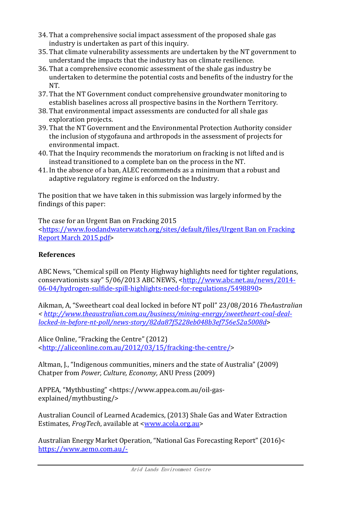- 34. That a comprehensive social impact assessment of the proposed shale gas industry is undertaken as part of this inquiry.
- 35. That climate vulnerability assessments are undertaken by the NT government to understand the impacts that the industry has on climate resilience.
- 36. That a comprehensive economic assessment of the shale gas industry be undertaken to determine the potential costs and benefits of the industry for the NT.
- 37. That the NT Government conduct comprehensive groundwater monitoring to establish baselines across all prospective basins in the Northern Territory.
- 38. That environmental impact assessments are conducted for all shale gas exploration projects.
- 39. That the NT Government and the Environmental Protection Authority consider the inclusion of stygofauna and arthropods in the assessment of projects for environmental impact.
- 40. That the Inquiry recommends the moratorium on fracking is not lifted and is instead transitioned to a complete ban on the process in the NT.
- 41. In the absence of a ban, ALEC recommends as a minimum that a robust and adaptive regulatory regime is enforced on the Industry.

The position that we have taken in this submission was largely informed by the findings of this paper:

The case for an Urgent Ban on Fracking 2015

[<https://www.foodandwaterwatch.org/sites/default/files/Urgent Ban on Fracking](https://www.foodandwaterwatch.org/sites/default/files/Urgent%20Ban%20on%20Fracking%20Report%20March%202015.pdf)  [Report March 2015.pdf>](https://www.foodandwaterwatch.org/sites/default/files/Urgent%20Ban%20on%20Fracking%20Report%20March%202015.pdf)

# **References**

ABC News, "Chemical spill on Plenty Highway highlights need for tighter regulations, conservationists say" 5/06/2013 ABC NEWS, <[http://www.abc.net.au/news/2014-](http://www.abc.net.au/news/2014-06-04/hydrogen-sulfide-spill-highlights-need-for-regulations/5498890) [06-04/hydrogen-sulfide-spill-highlights-need-for-regulations/5498890>](http://www.abc.net.au/news/2014-06-04/hydrogen-sulfide-spill-highlights-need-for-regulations/5498890)

Aikman, A, "Sweetheart coal deal locked in before NT poll" 23/08/2016 *TheAustralian < [http://www.theaustralian.com.au/business/mining-energy/sweetheart-coal-deal](http://www.theaustralian.com.au/business/mining-energy/sweetheart-coal-deal-locked-in-before-nt-poll/news-story/82da87f5228eb048b3ef756e52a5008d)[locked-in-before-nt-poll/news-story/82da87f5228eb048b3ef756e52a5008d](http://www.theaustralian.com.au/business/mining-energy/sweetheart-coal-deal-locked-in-before-nt-poll/news-story/82da87f5228eb048b3ef756e52a5008d)*>

Alice Online, "Fracking the Centre" (2012) [<http://aliceonline.com.au/2012/03/15/fracking-the-centre/>](http://aliceonline.com.au/2012/03/15/fracking-the-centre/)

Altman, J., "Indigenous communities, miners and the state of Australia" (2009) Chatper from *Power, Culture, Economy,* ANU Press (2009)

APPEA, "Mythbusting" <https://www.appea.com.au/oil-gasexplained/mythbusting/>

Australian Council of Learned Academics, (2013) Shale Gas and Water Extraction Estimates, *FrogTech*, available at [<www.acola.org.au>](http://www.acola.org.au/)

Australian Energy Market Operation, "National Gas Forecasting Report" (2016)< [https://www.aemo.com.au/-](https://www.aemo.com.au/-/media/Files/Gas/National_Planning_and_Forecasting/NGFR/2016/2016-National-Gas-Forecasting-Report-NGFR-Final.pdf)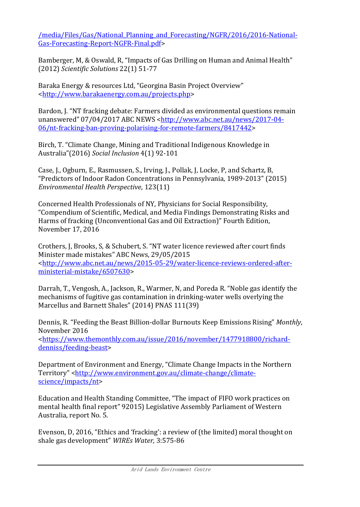[/media/Files/Gas/National\\_Planning\\_and\\_Forecasting/NGFR/2016/2016-National-](https://www.aemo.com.au/-/media/Files/Gas/National_Planning_and_Forecasting/NGFR/2016/2016-National-Gas-Forecasting-Report-NGFR-Final.pdf)[Gas-Forecasting-Report-NGFR-Final.pdf>](https://www.aemo.com.au/-/media/Files/Gas/National_Planning_and_Forecasting/NGFR/2016/2016-National-Gas-Forecasting-Report-NGFR-Final.pdf)

Bamberger, M, & Oswald, R, "Impacts of Gas Drilling on Human and Animal Health" (2012) *Scientific Solutions* 22(1) 51-77

Baraka Energy & resources Ltd, "Georgina Basin Project Overview" [<http://www.barakaenergy.com.au/projects.php>](http://www.barakaenergy.com.au/projects.php)

Bardon, J. "NT fracking debate: Farmers divided as environmental questions remain unanswered" 07/04/2017 ABC NEWS <[http://www.abc.net.au/news/2017-04-](http://www.abc.net.au/news/2017-04-06/nt-fracking-ban-proving-polarising-for-remote-farmers/8417442) [06/nt-fracking-ban-proving-polarising-for-remote-farmers/8417442>](http://www.abc.net.au/news/2017-04-06/nt-fracking-ban-proving-polarising-for-remote-farmers/8417442)

Birch, T. "Climate Change, Mining and Traditional Indigenous Knowledge in Australia"(2016) *Social Inclusion* 4(1) 92-101

Case, J., Ogburn, E., Rasmussen, S., Irving, J., Pollak, J, Locke, P, and Schartz, B, "Predictors of Indoor Radon Concentrations in Pennsylvania, 1989-2013" (2015) *Environmental Health Perspective*, 123(11)

Concerned Health Professionals of NY, Physicians for Social Responsibility, "Compendium of Scientific, Medical, and Media Findings Demonstrating Risks and Harms of fracking (Unconventional Gas and Oil Extraction)" Fourth Edition, November 17, 2016

Crothers, J, Brooks, S, & Schubert, S. "NT water licence reviewed after court finds Minister made mistakes" ABC News, 29/05/2015 [<http://www.abc.net.au/news/2015-05-29/water-licence-reviews-ordered-after](http://www.abc.net.au/news/2015-05-29/water-licence-reviews-ordered-after-ministerial-mistake/6507630)[ministerial-mistake/6507630>](http://www.abc.net.au/news/2015-05-29/water-licence-reviews-ordered-after-ministerial-mistake/6507630)

Darrah, T., Vengosh, A., Jackson, R., Warmer, N, and Poreda R. "Noble gas identify the mechanisms of fugitive gas contamination in drinking-water wells overlying the Marcellus and Barnett Shales" (2014) PNAS 111(39)

Dennis, R. "Feeding the Beast Billion-dollar Burnouts Keep Emissions Rising" *Monthly*, November 2016 [<https://www.themonthly.com.au/issue/2016/november/1477918800/richard](https://www.themonthly.com.au/issue/2016/november/1477918800/richard-denniss/feeding-beast)[denniss/feeding-beast>](https://www.themonthly.com.au/issue/2016/november/1477918800/richard-denniss/feeding-beast)

Department of Environment and Energy, "Climate Change Impacts in the Northern Territory" [<http://www.environment.gov.au/climate-change/climate](http://www.environment.gov.au/climate-change/climate-science/impacts/nt)[science/impacts/nt>](http://www.environment.gov.au/climate-change/climate-science/impacts/nt)

Education and Health Standing Committee, "The impact of FIFO work practices on mental health final report" 92015) Legislative Assembly Parliament of Western Australia, report No. 5.

Evenson, D, 2016, "Ethics and 'fracking': a review of (the limited) moral thought on shale gas development" *WIREs Water,* 3:575-86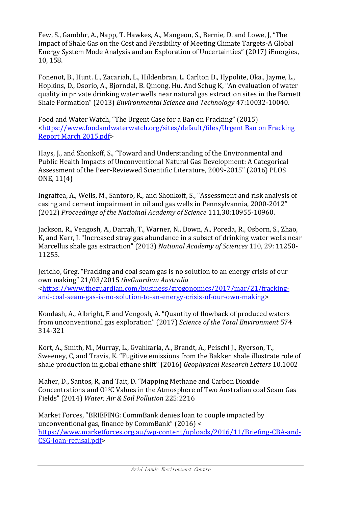Few, S., Gambhr, A., Napp, T. Hawkes, A., Mangeon, S., Bernie, D. and Lowe, J, "The Impact of Shale Gas on the Cost and Feasibility of Meeting Climate Targets-A Global Energy System Mode Analysis and an Exploration of Uncertainties" (2017) iEnergies, 10, 158.

Fonenot, B., Hunt. L., Zacariah, L., Hildenbran, L. Carlton D., Hypolite, Oka., Jayme, L., Hopkins, D., Osorio, A., Bjorndal, B. Qinong, Hu. And Schug K, "An evaluation of water quality in private drinking water wells near natural gas extraction sites in the Barnett Shale Formation" (2013) *Environmental Science and Technology* 47:10032-10040.

Food and Water Watch, "The Urgent Case for a Ban on Fracking" (2015) [<https://www.foodandwaterwatch.org/sites/default/files/Urgent Ban on Fracking](https://www.foodandwaterwatch.org/sites/default/files/Urgent%20Ban%20on%20Fracking%20Report%20March%202015.pdf)  [Report March 2015.pdf>](https://www.foodandwaterwatch.org/sites/default/files/Urgent%20Ban%20on%20Fracking%20Report%20March%202015.pdf)

Hays, J., and Shonkoff, S., "Toward and Understanding of the Environmental and Public Health Impacts of Unconventional Natural Gas Development: A Categorical Assessment of the Peer-Reviewed Scientific Literature, 2009-2015" (2016) PLOS ONE, 11(4)

Ingraffea, A., Wells, M., Santoro, R., and Shonkoff, S., "Assessment and risk analysis of casing and cement impairment in oil and gas wells in Pennsylvannia, 2000-2012" (2012) *Proceedings of the Natioinal Academy of Science* 111,30:10955-10960.

Jackson, R., Vengosh, A., Darrah, T., Warner, N., Down, A., Poreda, R., Osborn, S., Zhao, K, and Karr, J. "Increased stray gas abundance in a subset of drinking water wells near Marcellus shale gas extraction" (2013) *National Academy of Sciences* 110, 29: 11250- 11255.

Jericho, Greg. "Fracking and coal seam gas is no solution to an energy crisis of our own making" 21/03/2015 *theGuardian Australia* [<https://www.theguardian.com/business/grogonomics/2017/mar/21/fracking](https://www.theguardian.com/business/grogonomics/2017/mar/21/fracking-and-coal-seam-gas-is-no-solution-to-an-energy-crisis-of-our-own-making)[and-coal-seam-gas-is-no-solution-to-an-energy-crisis-of-our-own-making>](https://www.theguardian.com/business/grogonomics/2017/mar/21/fracking-and-coal-seam-gas-is-no-solution-to-an-energy-crisis-of-our-own-making)

Kondash, A., Albright, E and Vengosh, A. "Quantity of flowback of produced waters from unconventional gas exploration" (2017) *Science of the Total Environment* 574 314-321

Kort, A., Smith, M., Murray, L., Gvahkaria, A., Brandt, A., Peischl J., Ryerson, T., Sweeney, C, and Travis, K. "Fugitive emissions from the Bakken shale illustrate role of shale production in global ethane shift" (2016) *Geophysical Research Letters* 10.1002

Maher, D., Santos, R, and Tait, D. "Mapping Methane and Carbon Dioxide Concentrations and O13C Values in the Atmosphere of Two Australian coal Seam Gas Fields" (2014) *Water, Air & Soil Pollution* 225:2216

Market Forces, "BRIEFING: CommBank denies loan to couple impacted by unconventional gas, finance by CommBank" (2016) < [https://www.marketforces.org.au/wp-content/uploads/2016/11/Briefing-CBA-and-](https://www.marketforces.org.au/wp-content/uploads/2016/11/Briefing-CBA-and-CSG-loan-refusal.pdf)[CSG-loan-refusal.pdf>](https://www.marketforces.org.au/wp-content/uploads/2016/11/Briefing-CBA-and-CSG-loan-refusal.pdf)